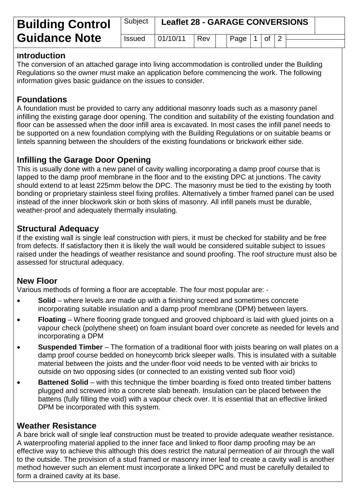| <b>Building Control</b> | Subject       | <b>Leaflet 28 - GARAGE CONVERSIONS</b> |     |  |                       |  |  |  |  |
|-------------------------|---------------|----------------------------------------|-----|--|-----------------------|--|--|--|--|
| <b>Guidance Note</b>    | <b>Issued</b> | 01/10/11                               | Rev |  | Page   $1$   of   $2$ |  |  |  |  |

#### **Introduction**

The conversion of an attached garage into living accommodation is controlled under the Building Regulations so the owner must make an application before commencing the work. The following information gives basic guidance on the issues to consider.

## **Foundations**

A foundation must be provided to carry any additional masonry loads such as a masonry panel infilling the existing garage door opening. The condition and suitability of the existing foundation and floor can be assessed when the door infill area is excavated. In most cases the infill panel needs to be supported on a new foundation complying with the Building Regulations or on suitable beams or lintels spanning between the shoulders of the existing foundations or brickwork either side.

## **Infilling the Garage Door Opening**

This is usually done with a new panel of cavity walling incorporating a damp proof course that is lapped to the damp proof membrane in the floor and to the existing DPC at junctions. The cavity should extend to at least 225mm below the DPC. The masonry must be tied to the existing by tooth bonding or proprietary stainless steel fixing profiles. Alternatively a timber framed panel can be used instead of the inner blockwork skin or both skins of masonry. All infill panels must be durable, weather-proof and adequately thermally insulating.

#### **Structural Adequacy**

If the existing wall is single leaf construction with piers, it must be checked for stability and be free from defects. If satisfactory then it is likely the wall would be considered suitable subject to issues raised under the headings of weather resistance and sound proofing. The roof structure must also be assessed for structural adequacy.

## **New Floor**

Various methods of forming a floor are acceptable. The four most popular are: -

- **Solid** where levels are made up with a finishing screed and sometimes concrete incorporating suitable insulation and a damp proof membrane (DPM) between layers.
- **Floating** Where flooring grade tongued and grooved chipboard is laid with glued joints on a vapour check (polythene sheet) on foam insulant board over concrete as needed for levels and incorporating a DPM
- **Suspended Timber** The formation of a traditional floor with joists bearing on wall plates on a damp proof course bedded on honeycomb brick sleeper walls. This is insulated with a suitable material between the joists and the under-floor void needs to be vented with air bricks to outside on two opposing sides (or connected to an existing vented sub floor void)
- **Battened Solid** with this technique the timber boarding is fixed onto treated timber battens plugged and screwed into a concrete slab beneath. Insulation can be placed between the battens (fully filling the void) with a vapour check over. It is essential that an effective linked DPM be incorporated with this system.

## **Weather Resistance**

A bare brick wall of single leaf construction must be treated to provide adequate weather resistance. A waterproofing material applied to the inner face and linked to floor damp proofing may be an effective way to achieve this although this does restrict the natural permeation of air through the wall to the outside. The provision of a stud framed or masonry inner leaf to create a cavity wall is another method however such an element must incorporate a linked DPC and must be carefully detailed to form a drained cavity at its base.